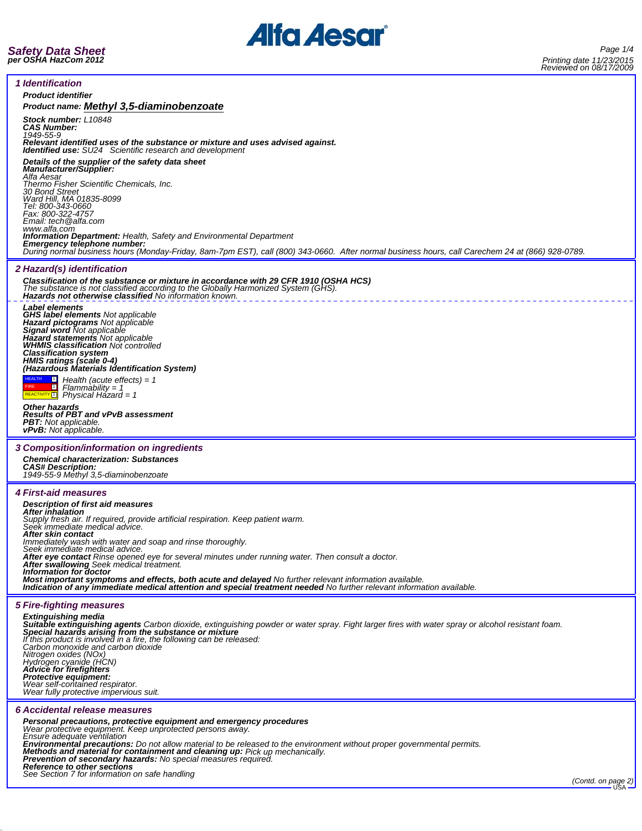

F

╞

| <i><b>1</b></i> Identification                                                                                                                                                                                                                            |  |
|-----------------------------------------------------------------------------------------------------------------------------------------------------------------------------------------------------------------------------------------------------------|--|
| <b>Product identifier</b>                                                                                                                                                                                                                                 |  |
| Product name: Methyl 3,5-diaminobenzoate                                                                                                                                                                                                                  |  |
| Stock number: L10848<br><b>CAS Number:</b><br>1949-55-9<br>Relevant identified uses of the substance or mixture and uses advised against.                                                                                                                 |  |
| <b>Identified use:</b> SU24 Scientific research and development                                                                                                                                                                                           |  |
| Details of the supplier of the safety data sheet<br><b>Manufacturer/Supplier:</b><br>Alfa Aesar                                                                                                                                                           |  |
| Thermo Fisher Scientific Chemicals, Inc.<br>30 Bond Street<br>Ward Hill, MA 01835-8099                                                                                                                                                                    |  |
| Tel: 800-343-0660<br>Fax: 800-322-4757<br>Email: tech @alfa.com                                                                                                                                                                                           |  |
| www.alfa.com<br><b>Information Department:</b> Health, Safety and Environmental Department                                                                                                                                                                |  |
| Emergency telephone number:<br>During normal business hours (Monday-Friday, 8am-7pm EST), call (800) 343-0660. After normal business hours, call Carechem 24 at (866) 928-0789.                                                                           |  |
| 2 Hazard(s) identification                                                                                                                                                                                                                                |  |
| Classification of the substance or mixture in accordance with 29 CFR 1910 (OSHA HCS)<br>The substance is not classified according to the Globally Harmonized System (GHS).<br>Hazards not otherwise classified No information known.                      |  |
| <b>Label elements</b><br><b>GHS label elements Not applicable</b>                                                                                                                                                                                         |  |
| Hazard pictograms Not applicable<br>Signal word Not applicable<br>Hazard statements Not applicable                                                                                                                                                        |  |
| <b>WHMIS classification Not controlled</b>                                                                                                                                                                                                                |  |
| <b>Classification system</b>                                                                                                                                                                                                                              |  |
| HMIS ratings (scale 0-4)<br>(Hazardous Materials Identification System)                                                                                                                                                                                   |  |
| <b>HEALTH</b><br>$\Box$ Health (acute effects) = 1<br>◨<br>$Flammablity = 1$<br>REACTIVITY <sup>1</sup> Physical Hazard = 1                                                                                                                               |  |
| <b>Other hazards</b><br><b>Results of PBT and vPvB assessment</b>                                                                                                                                                                                         |  |
| <b>PBT:</b> Not applicable.                                                                                                                                                                                                                               |  |
| <b>vPvB:</b> Not applicable.                                                                                                                                                                                                                              |  |
| 3 Composition/information on ingredients                                                                                                                                                                                                                  |  |
| <b>Chemical characterization: Substances</b><br><b>CAS# Description:</b>                                                                                                                                                                                  |  |
| 1949-55-9 Methyl 3,5-diaminobenzoate                                                                                                                                                                                                                      |  |
| <b>4 First-aid measures</b>                                                                                                                                                                                                                               |  |
| <b>Description of first aid measures</b>                                                                                                                                                                                                                  |  |
| <b>After inhalation</b>                                                                                                                                                                                                                                   |  |
| Supply fresh air. If required, provide artificial respiration. Keep patient warm.<br>Seek immediate medical advice.<br>After skin contact                                                                                                                 |  |
| Immediately wash with water and soap and rinse thoroughly.<br>Seek immediate medical advice.                                                                                                                                                              |  |
| After eye contact Rinse opened eye for several minutes under running water. Then consult a doctor.<br>After swallowing Seek medical treatment.                                                                                                            |  |
| Information for doctor<br>Most important symptoms and effects, both acute and delayed No further relevant information available.<br>Indication of any immediate medical attention and special treatment needed No further relevant information available. |  |
|                                                                                                                                                                                                                                                           |  |
| <b>5 Fire-fighting measures</b><br><b>Extinguishing media</b>                                                                                                                                                                                             |  |
| Suitable extinguishing agents Carbon dioxide, extinguishing powder or water spray. Fight larger fires with water spray or alcohol resistant foam.                                                                                                         |  |
| Special hazards arising from the substance or mixture<br>If this product is involved in a fire, the following can be released:<br>Carbon monoxide and carbon dioxide                                                                                      |  |
|                                                                                                                                                                                                                                                           |  |
| Nitrogen oxides (NOx)<br>Hydrogen cyanide (HCN)<br><b>Advice for firefighters</b>                                                                                                                                                                         |  |
| Protective equipment:<br>Wear self-contained respirator.                                                                                                                                                                                                  |  |
| Wear fully protective impervious suit.                                                                                                                                                                                                                    |  |
| <b>6 Accidental release measures</b>                                                                                                                                                                                                                      |  |
| Personal precautions, protective equipment and emergency procedures<br>Wear protective equipment. Keep unprotected persons away.                                                                                                                          |  |
| Ensure adequate ventilation<br>Environmental precautions: Do not allow material to be released to the environment without proper governmental permits.                                                                                                    |  |
| Methods and material for containment and cleaning up: Pick up mechanically.<br>Prevention of secondary hazards: No special measures required.<br><b>Reference to other sections</b>                                                                       |  |

*See Section 7 for information on safe handling (Contd. on page 2)* USA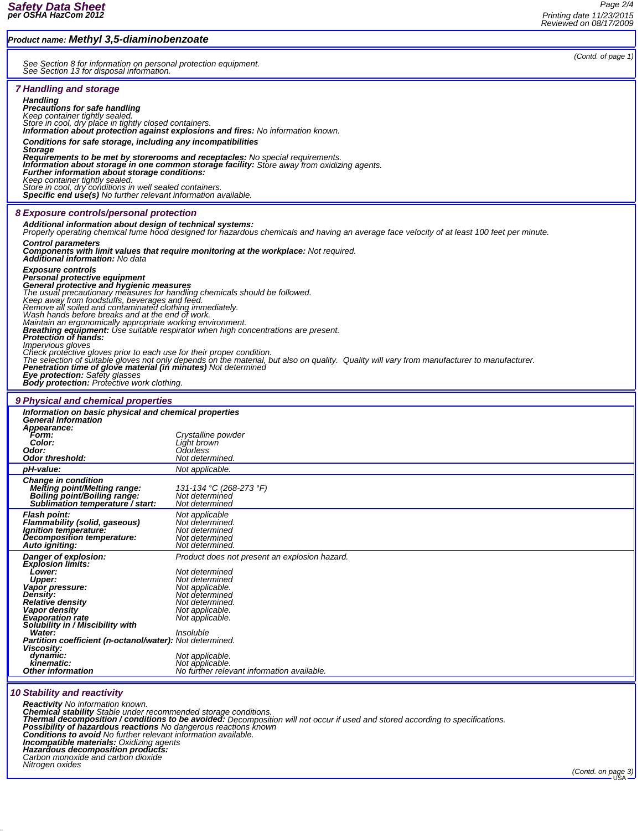| <b>Product name: Methyl 3,5-diaminobenzoate</b>                                                                                                                                                                                                                                                                                                                                                                                                                                                                                                                                                                                                                                                                                                                                                                                                                                                                                                  |                                                                                                                                                                                 |                    |  |
|--------------------------------------------------------------------------------------------------------------------------------------------------------------------------------------------------------------------------------------------------------------------------------------------------------------------------------------------------------------------------------------------------------------------------------------------------------------------------------------------------------------------------------------------------------------------------------------------------------------------------------------------------------------------------------------------------------------------------------------------------------------------------------------------------------------------------------------------------------------------------------------------------------------------------------------------------|---------------------------------------------------------------------------------------------------------------------------------------------------------------------------------|--------------------|--|
| See Section 8 for information on personal protection equipment.<br>See Section 13 for disposal information.                                                                                                                                                                                                                                                                                                                                                                                                                                                                                                                                                                                                                                                                                                                                                                                                                                      |                                                                                                                                                                                 | (Contd. of page 1) |  |
| <b>7 Handling and storage</b><br><b>Handling</b><br><b>Precautions for safe handling</b><br>Keep container tightly sealed.<br>Store in cool, dry place in tightly closed containers.<br><b>Information about protection against explosions and fires:</b> No information known.<br>Conditions for safe storage, including any incompatibilities<br><b>Storage</b><br>Requirements to be met by storerooms and receptacles: No special requirements.<br>Information about storage in one common storage facility: Store away from oxidizing agents.<br>Further information about storage conditions:<br>Keep container tightly sealed.<br>Store in cool, dry conditions in well sealed containers.<br><b>Specific end use(s)</b> No further relevant information available.                                                                                                                                                                       |                                                                                                                                                                                 |                    |  |
| 8 Exposure controls/personal protection<br>Additional information about design of technical systems:<br>Properly operating chemical fume hood designed for hazardous chemicals and having an average face velocity of at least 100 feet per minute.<br><b>Control parameters</b><br><b>Components with limit values that require monitoring at the workplace:</b> Not required.<br>Additional information: No data                                                                                                                                                                                                                                                                                                                                                                                                                                                                                                                               |                                                                                                                                                                                 |                    |  |
| <b>Exposure controls</b><br>Personal protective equipment<br>General protective and hygienic measures<br>The usual precautionary measures for handling chemicals should be followed.<br>Keep away from foodstuffs, beverages and feed.<br>Remove all soiled and contaminated clothing immediately.<br>Wash hands before breaks and at the end of work.<br>Maintain an ergonomically appropriate working environment.<br>Breathing equipment: Use suitable respirator when high concentrations are present.<br>Protection of hands:<br><i>Impervious gloves</i><br>Check protective gloves prior to each use for their proper condition.<br>The selection of suitable gloves not only depends on the material, but also on quality. Quality will vary from manufacturer to manufacturer.<br>Penetration time of glove material (in minutes) Not determined<br>Eye protection: Safety glasses<br><b>Body protection:</b> Protective work clothing. |                                                                                                                                                                                 |                    |  |
| 9 Physical and chemical properties                                                                                                                                                                                                                                                                                                                                                                                                                                                                                                                                                                                                                                                                                                                                                                                                                                                                                                               |                                                                                                                                                                                 |                    |  |
| Information on basic physical and chemical properties<br><b>General Information</b><br>Appearance:<br>Form:<br>Color:<br>Odor:<br><b>Odor threshold:</b>                                                                                                                                                                                                                                                                                                                                                                                                                                                                                                                                                                                                                                                                                                                                                                                         | Crystalline powder<br>Liáht brown<br><i><b>Odorless</b></i>                                                                                                                     |                    |  |
| pH-value:                                                                                                                                                                                                                                                                                                                                                                                                                                                                                                                                                                                                                                                                                                                                                                                                                                                                                                                                        | Not determined.<br>Not applicable.                                                                                                                                              |                    |  |
| <b>Change in condition</b><br><b>Melting point/Melting range:</b><br>Boiling point/Boiling range:<br>Sublimation temperature / start:                                                                                                                                                                                                                                                                                                                                                                                                                                                                                                                                                                                                                                                                                                                                                                                                            | 131-134 °C (268-273 °F)<br>Not determined<br><b>Not determined</b>                                                                                                              |                    |  |
| <b>Flash point:</b><br><b>Flammability (solid, gaseous)</b><br>lanition temperature.<br>Decomposition temperature:<br>Auto igniting:                                                                                                                                                                                                                                                                                                                                                                                                                                                                                                                                                                                                                                                                                                                                                                                                             | Not applicable<br>Not determined.<br>Not determined<br>Not determined<br>Not determined.                                                                                        |                    |  |
| Danger of explosion:<br><b>Explosion limits:</b><br>Lower:<br><b>Upper:</b><br>Vapor pressure:<br>Density:<br><b>Relative density</b><br><b>Vapor density</b><br><b>Evaporation rate</b><br>Solubility in / Miscibility with                                                                                                                                                                                                                                                                                                                                                                                                                                                                                                                                                                                                                                                                                                                     | Product does not present an explosion hazard.<br>Not determined<br>Not determined<br>Not applicable.<br>Not determined<br>Not determined.<br>Not applicable.<br>Not applicable. |                    |  |
| Water:<br>Insoluble<br><b>Partition coefficient (n-octanol/water):</b> Not determined.<br>Viscosity:<br>dynamic:<br>Not applicable.                                                                                                                                                                                                                                                                                                                                                                                                                                                                                                                                                                                                                                                                                                                                                                                                              |                                                                                                                                                                                 |                    |  |
| kinematic:<br><b>Other information</b>                                                                                                                                                                                                                                                                                                                                                                                                                                                                                                                                                                                                                                                                                                                                                                                                                                                                                                           | Not applicable.<br>No further relevant information available.                                                                                                                   |                    |  |
| <b>AO Crahilling and vanafields</b>                                                                                                                                                                                                                                                                                                                                                                                                                                                                                                                                                                                                                                                                                                                                                                                                                                                                                                              |                                                                                                                                                                                 |                    |  |

## *10 Stability and reactivity*

**Reactivity** No information known.<br>Chemical stability Stable under recommended storage conditions.<br>Thermal decomposition / conditions to be avoided: Decomposition will not occur if used and stored according to specificatio *Incompatible materials: Oxidizing agents Hazardous decomposition products: Carbon monoxide and carbon dioxide Nitrogen oxides (Contd. on page 3)* USA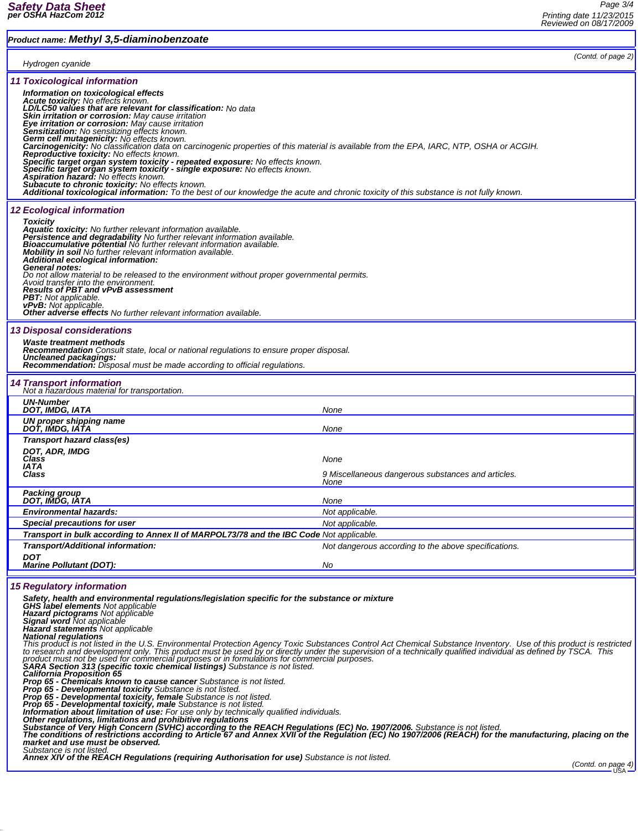# *Product name: Methyl 3,5-diaminobenzoate*

*Page 3/4 Printing date 11/23/2015 Reviewed on 08/17/2009*

| (Contd. of page 2)                                                                                                                                                                                                                                                                                                                                                                                                                                                                                                                                                                                                                                                                                                                                                                                                                                                                                                                                                 |
|--------------------------------------------------------------------------------------------------------------------------------------------------------------------------------------------------------------------------------------------------------------------------------------------------------------------------------------------------------------------------------------------------------------------------------------------------------------------------------------------------------------------------------------------------------------------------------------------------------------------------------------------------------------------------------------------------------------------------------------------------------------------------------------------------------------------------------------------------------------------------------------------------------------------------------------------------------------------|
| Carcinogenicity: No classification data on carcinogenic properties of this material is available from the EPA, IARC, NTP, OSHA or ACGIH.<br>Specific target organ system toxicity - repeated exposure: No effects known.<br>Specific target organ system toxicity - single exposure: No effects known.<br>Additional toxicological information: To the best of our knowledge the acute and chronic toxicity of this substance is not fully known.                                                                                                                                                                                                                                                                                                                                                                                                                                                                                                                  |
| Do not allow material to be released to the environment without proper governmental permits.                                                                                                                                                                                                                                                                                                                                                                                                                                                                                                                                                                                                                                                                                                                                                                                                                                                                       |
| <b>Recommendation</b> Consult state, local or national regulations to ensure proper disposal.                                                                                                                                                                                                                                                                                                                                                                                                                                                                                                                                                                                                                                                                                                                                                                                                                                                                      |
|                                                                                                                                                                                                                                                                                                                                                                                                                                                                                                                                                                                                                                                                                                                                                                                                                                                                                                                                                                    |
| None                                                                                                                                                                                                                                                                                                                                                                                                                                                                                                                                                                                                                                                                                                                                                                                                                                                                                                                                                               |
| None                                                                                                                                                                                                                                                                                                                                                                                                                                                                                                                                                                                                                                                                                                                                                                                                                                                                                                                                                               |
| None<br>9 Miscellaneous dangerous substances and articles.<br>None                                                                                                                                                                                                                                                                                                                                                                                                                                                                                                                                                                                                                                                                                                                                                                                                                                                                                                 |
|                                                                                                                                                                                                                                                                                                                                                                                                                                                                                                                                                                                                                                                                                                                                                                                                                                                                                                                                                                    |
| None                                                                                                                                                                                                                                                                                                                                                                                                                                                                                                                                                                                                                                                                                                                                                                                                                                                                                                                                                               |
| Not applicable.                                                                                                                                                                                                                                                                                                                                                                                                                                                                                                                                                                                                                                                                                                                                                                                                                                                                                                                                                    |
| Not applicable.                                                                                                                                                                                                                                                                                                                                                                                                                                                                                                                                                                                                                                                                                                                                                                                                                                                                                                                                                    |
| Transport in bulk according to Annex II of MARPOL73/78 and the IBC Code Not applicable.                                                                                                                                                                                                                                                                                                                                                                                                                                                                                                                                                                                                                                                                                                                                                                                                                                                                            |
| Not dangerous according to the above specifications.                                                                                                                                                                                                                                                                                                                                                                                                                                                                                                                                                                                                                                                                                                                                                                                                                                                                                                               |
| No                                                                                                                                                                                                                                                                                                                                                                                                                                                                                                                                                                                                                                                                                                                                                                                                                                                                                                                                                                 |
| Safety, health and environmental regulations/legislation specific for the substance or mixture<br>This product is not listed in the U.S. Environmental Protection Agency Toxic Substances Control Act Chemical Substance Inventory. Use of this product is restricted<br>to research and development only. This product must be used by or directly under the supervision of a technically qualified individual as defined by TSCA. This<br>product must not be used for commercial purposes or in formulations for commercial purposes.<br>SARA Section 313 (specific toxic chemical listings) Substance is not listed.<br><b>Information about limitation of use:</b> For use only by technically qualified individuals.<br>Other regulations, limitations and prohibitive regulations<br>Substance of Very High Concern (SVHC) according to the REACH Regulations (EC) No. 1907/2006. Substance is not listed.<br>The conditions of restrictions according to A |
|                                                                                                                                                                                                                                                                                                                                                                                                                                                                                                                                                                                                                                                                                                                                                                                                                                                                                                                                                                    |